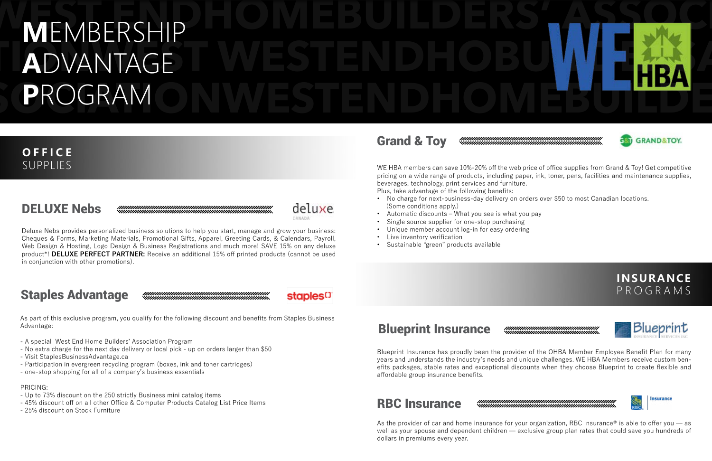Deluxe Nebs provides personalized business solutions to help you start, manage and grow your business: Cheques & Forms, Marketing Materials, Promotional Gifts, Apparel, Greeting Cards, & Calendars, Payroll, Web Design & Hosting, Logo Design & Business Registrations and much more! SAVE 15% on any deluxe product\*! **DELUXE PERFECT PARTNER:** Receive an additional 15% off printed products (cannot be used in conjunction with other promotions).

# WEST END LOWEBUILDERS' ASSOCIATION **TIONWEST WESTENDHOBUILDERSAS-A**DVANTAGE **SOCIATIONS IN THE STATE OF A SUBJECT OF A SUBJECT OF A SUBJECT OF A SUBJECT OF A SUBJECT OF A SUBJECT OF A SUBJECT OF A SUBJECT OF A SUBJECT OF A SUBJECT OF A SUBJECT OF A SUBJECT OF A SUBJECT OF A SUBJECT OF A SUBJECT OF M**EMBERSHIP **P**ROGRAM

deluxe

staples<sup>[]</sup>

PARANA

# DELUXE Nebs

As part of this exclusive program, you qualify for the following discount and benefits from Staples Business Advantage:

- A special West End Home Builders' Association Program
- No extra charge for the next day delivery or local pick up on orders larger than \$50
- Visit StaplesBusinessAdvantage.ca
- Participation in evergreen recycling program (boxes, ink and toner cartridges)
- one-stop shopping for all of a company's business essentials

#### PRICING:

- Up to 73% discount on the 250 strictly Business mini catalog items
- 45% discount off on all other Office & Computer Products Catalog List Price Items
- 25% discount on Stock Furniture

### Staples Advantage

# **OFFICE**

As the provider of car and home insurance for your organization, RBC Insurance<sup>®</sup> is able to offer you  $-$  as well as your spouse and dependent children — exclusive group plan rates that could save you hundreds of dollars in premiums every year.





SUPPLIES WE HBA members can save 10%-20% off the web price of office supplies from Grand & Toy! Get competitive pricing on a wide range of products, including paper, ink, toner, pens, facilities and maintenance supplies, beverages, technology, print services and furniture. Plus, take advantage of the following benefits:

- No charge for next-business-day delivery on orders over \$50 to most Canadian locations. (Some conditions apply.)
- Automatic discounts What you see is what you pay
- Single source supplier for one-stop purchasing
- Unique member account log-in for easy ordering
- Live inventory verification
- Sustainable "green" products available

# Grand & Toy

### **INSURANCE** PROGRAMS





Blueprint Insurance has proudly been the provider of the OHBA Member Employee Benefit Plan for many years and understands the industry's needs and unique challenges. WE HBA Members receive custom benefits packages, stable rates and exceptional discounts when they choose Blueprint to create flexible and affordable group insurance benefits.

# Blueprint Insurance

### RBC Insurance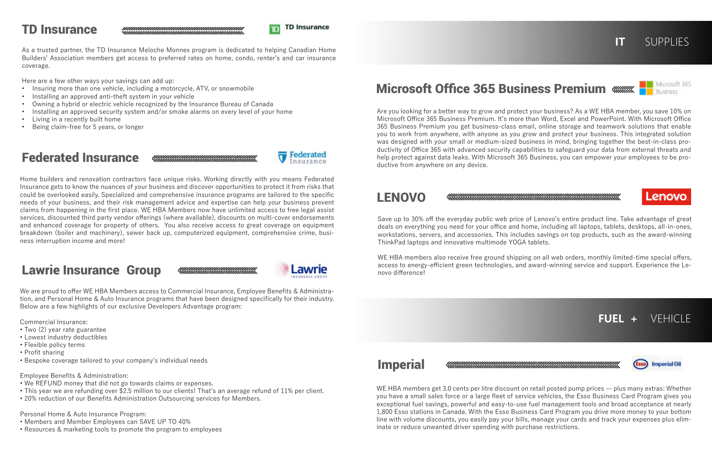As a trusted partner, the TD Insurance Meloche Monnex program is dedicated to helping Canadian Home Builders' Association members get access to preferred rates on home, condo, renter's and car insurance coverage.

Here are a few other ways your savings can add up:

- Insuring more than one vehicle, including a motorcycle, ATV, or snowmobile
- Installing an approved anti-theft system in your vehicle
- Owning a hybrid or electric vehicle recognized by the Insurance Bureau of Canada
- Installing an approved security system and/or smoke alarms on every level of your home
- Living in a recently built home
- Being claim-free for 5 years, or longer

## TD Insurance

Home builders and renovation contractors face unique risks. Working directly with you means Federated Insurance gets to know the nuances of your business and discover opportunities to protect it from risks that could be overlooked easily. Specialized and comprehensive insurance programs are tailored to the specific needs of your business, and their risk management advice and expertise can help your business prevent claims from happening in the first place. WE HBA Members now have unlimited access to free legal assist services, discounted third party vendor offerings (where available), discounts on multi-cover endorsements and enhanced coverage for property of others. You also receive access to great coverage on equipment breakdown (boiler and machinery), sewer back up, computerized equipment, comprehensive crime, business interruption income and more!

**MMMMMMMMMMMMMMMMMMMMMMMMMMMM** 

**MMMMMMMMMMMMMMMMMMM** 

# Federated Insurance



We are proud to offer WE HBA Members access to Commercial Insurance, Employee Benefits & Administration, and Personal Home & Auto Insurance programs that have been designed specifically for their industry. Below are a few highlights of our exclusive Developers Advantage program:

Commercial Insurance:

- Two (2) year rate guarantee
- Lowest industry deductibles
- Flexible policy terms
- Profit sharing
- Bespoke coverage tailored to your company's individual needs

WE HBA members also receive free ground shipping on all web orders, monthly limited-time special offers, access to energy-efficient green technologies, and award-winning service and support. Experience the Lenovo difference!

#### Employee Benefits & Administration:

- We REFUND money that did not go towards claims or expenses.
- This year we are refunding over \$2.5 million to our clients! That's an average refund of 11% per client.
- 20% reduction of our Benefits Administration Outsourcing services for Members.

Personal Home & Auto Insurance Program:

- Members and Member Employees can SAVE UP TO 40%
- Resources & marketing tools to promote the program to employees

# Lawrie Insurance Group



#### Are you looking for a better way to grow and protect your business? As a WE HBA member, you save 10% on Microsoft Office 365 Business Premium. It's more than Word, Excel and PowerPoint. With Microsoft Office 365 Business Premium you get business-class email, online storage and teamwork solutions that enable you to work from anywhere, with anyone as you grow and protect your business. This integrated solution was designed with your small or medium-sized business in mind, bringing together the best-in-class productivity of Office 365 with advanced security capabilities to safeguard your data from external threats and help protect against data leaks. With Microsoft 365 Business, you can empower your employees to be pro-

#### 

#### 

ductive from anywhere on any device.

# Microsoft Office 365 Business Premium



Save up to 30% off the everyday public web price of Lenovo's entire product line. Take advantage of great deals on everything you need for your office and home, including all laptops, tablets, desktops, all-in-ones, workstations, servers, and accessories. This includes savings on top products, such as the award-winning ThinkPad laptops and innovative multimode YOGA tablets.

### LENOVO





Business



FUEL + VFHICLE



inate or reduce unwanted driver spending with purchase restrictions.

### Imperial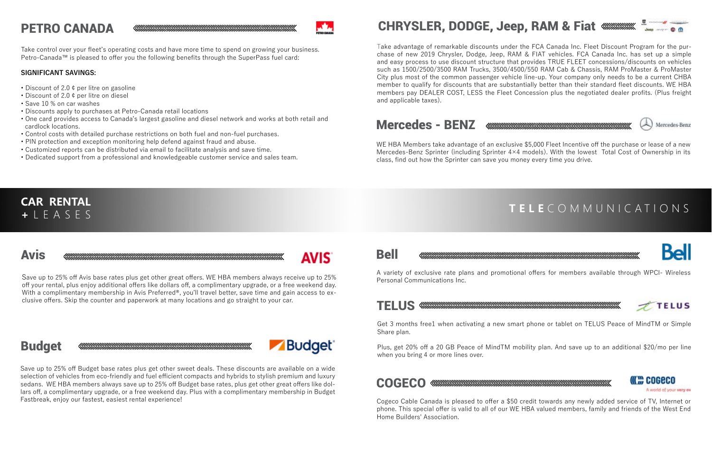Take control over your fleet's operating costs and have more time to spend on growing your business. Petro-Canada™ is pleased to offer you the following benefits through the SuperPass fuel card:

#### **SIGNIFICANT SAVINGS:**

- Discount of 2.0 ¢ per litre on gasoline
- Discount of 2.0 ¢ per litre on diesel
- Save 10 % on car washes
- Discounts apply to purchases at Petro-Canada retail locations
- One card provides access to Canada's largest gasoline and diesel network and works at both retail and cardlock locations.
- Control costs with detailed purchase restrictions on both fuel and non-fuel purchases.
- PIN protection and exception monitoring help defend against fraud and abuse.
- Customized reports can be distributed via email to facilitate analysis and save time.
- Dedicated support from a professional and knowledgeable customer service and sales team.

# PETRO CANADA

Save up to 25% off Avis base rates plus get other great offers. WE HBA members always receive up to 25% off your rental, plus enjoy additional offers like dollars off, a complimentary upgrade, or a free weekend day. With a complimentary membership in Avis Preferred®, you'll travel better, save time and gain access to exclusive offers. Skip the counter and paperwork at many locations and go straight to your car.

### Avis

# Budget

Save up to 25% off Budget base rates plus get other sweet deals. These discounts are available on a wide selection of vehicles from eco-friendly and fuel efficient compacts and hybrids to stylish premium and luxury sedans. WE HBA members always save up to 25% off Budget base rates, plus get other great offers like dollars off, a complimentary upgrade, or a free weekend day. Plus with a complimentary membership in Budget Fastbreak, enjoy our fastest, easiest rental experience!

# **AVIS**

#### **CAR RENTAL +** LEASES

Take advantage of remarkable discounts under the FCA Canada Inc. Fleet Discount Program for the purchase of new 2019 Chrysler, Dodge, Jeep, RAM & FIAT vehicles. FCA Canada Inc. has set up a simple and easy process to use discount structure that provides TRUE FLEET concessions/discounts on vehicles such as 1500/2500/3500 RAM Trucks, 3500/4500/550 RAM Cab & Chassis, RAM ProMaster & ProMaster City plus most of the common passenger vehicle line-up. Your company only needs to be a current CHBA member to qualify for discounts that are substantially better than their standard fleet discounts. WE HBA members pay DEALER COST, LESS the Fleet Concession plus the negotiated dealer profits. (Plus freight and applicable taxes).

# CHRYSLER, DODGE, Jeep, RAM & Fiat

WE HBA Members take advantage of an exclusive \$5,000 Fleet Incentive off the purchase or lease of a new Mercedes-Benz Sprinter (including Sprinter 4×4 models). With the lowest Total Cost of Ownership in its class, find out how the Sprinter can save you money every time you drive.

### Mercedes - BENZ

### **TELE** COMM UNICATION S



COGECO

A world of your very ow





Kel

A variety of exclusive rate plans and promotional offers for members available through WPCI- Wireless Personal Communications Inc.

### Bell

Cogeco Cable Canada is pleased to offer a \$50 credit towards any newly added service of TV, Internet or phone. This special offer is valid to all of our WE HBA valued members, family and friends of the West End Home Builders' Association.







Get 3 months free1 when activating a new smart phone or tablet on TELUS Peace of MindTM or Simple Share plan.

Plus, get 20% off a 20 GB Peace of MindTM mobility plan. And save up to an additional \$20/mo per line when you bring 4 or more lines over.

#### **COGECO**

#### TELUS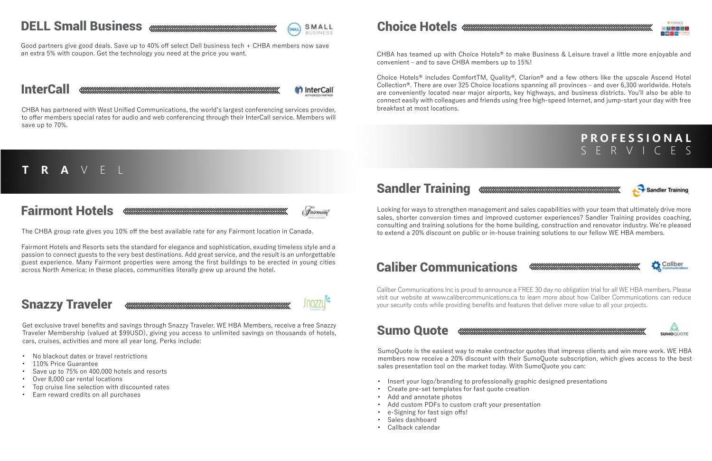# DELL Small Business www.www.www.www.www.www.www.www.



#### Good partners give good deals. Save up to 40% off select Dell business tech + CHBA members now save an extra 5% with coupon. Get the technology you need at the price you want.

# **InterCall**

th InterCall

CHBA has partnered with West Unified Communications, the world's largest conferencing services provider, to offer members special rates for audio and web conferencing through their InterCall service. Members will save up to 70%.

### **TRA** VEL



Fairmont Hotels and Resorts sets the standard for elegance and sophistication, exuding timeless style and a passion to connect guests to the very best destinations. Add great service, and the result is an unforgettable guest experience. Many Fairmont properties were among the first buildings to be erected in young cities across North America; in these places, communities literally grew up around the hotel.



- No blackout dates or travel restrictions
- 110% Price Guarantee
- Save up to 75% on 400,000 hotels and resorts
- Over 8,000 car rental locations
- Top cruise line selection with discounted rates
- Earn reward credits on all purchases

# Fairmont Hotels

### Snazzy Traveler

CHBA has teamed up with Choice Hotels® to make Business & Leisure travel a little more enjoyable and convenient – and to save CHBA members up to 15%!

Choice Hotels® includes ComfortTM, Quality®, Clarion® and a few others like the upscale Ascend Hotel Collection®. There are over 325 Choice locations spanning all provinces – and over 6,300 worldwide. Hotels are conveniently located near major airports, key highways, and business districts. You'll also be able to connect easily with colleagues and friends using free high-speed Internet, and jump-start your day with free breakfast at most locations.

### Choice Hotels

### **P R O F E S S I O N A L**  SERVICES

#### 





Sandler Training



to extend a 20% discount on public or in-house training solutions to our fellow WE HBA members.

# Sandler Training

# Caliber Communications

Caliber Communications Inc is proud to announce a FREE 30 day no obligation trial for all WE HBA members. Please visit our website at www.calibercommunications.ca to learn more about how Caliber Communications can reduce your security costs while providing benefits and features that deliver more value to all your projects.

SumoQuote is the easiest way to make contractor quotes that impress clients and win more work. WE HBA members now receive a 20% discount with their SumoQuote subscription, which gives access to the best sales presentation tool on the market today. With SumoQuote you can:

- Insert your logo/branding to professionally graphic designed presentations
- Create pre-set templates for fast quote creation
- Add and annotate photos
- Add custom PDFs to custom craft your presentation
- e-Signing for fast sign offs!
- Sales dashboard
- Callback calendar



### Sumo Quote